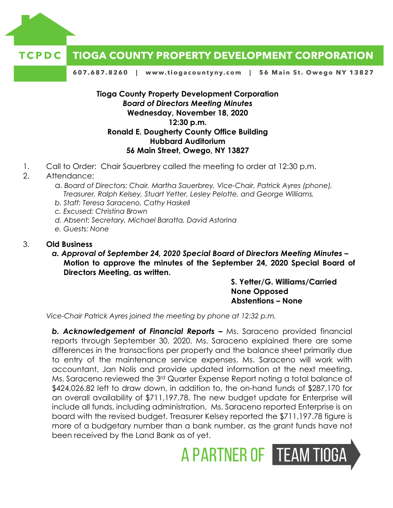



607.687.8260 | www.tiogacountyny.com | 56 Main St. Owego NY 13827

### **Tioga County Property Development Corporation** *Board of Directors Meeting Minutes*  **Wednesday, November 18, 2020 12:30 p.m. Ronald E. Dougherty County Office Building Hubbard Auditorium 56 Main Street, Owego, NY 13827**

1. Call to Order: Chair Sauerbrey called the meeting to order at 12:30 p.m.

### 2. Attendance:

- a. *Board of Directors: Chair, Martha Sauerbrey, Vice-Chair, Patrick Ayres (phone), Treasurer, Ralph Kelsey, Stuart Yetter, Lesley Pelotte, and George Williams,*
- *b. Staff: Teresa Saraceno, Cathy Haskell*
- *c. Excused: Christina Brown*
- *d. Absent: Secretary, Michael Baratta, David Astorina*
- *e. Guests: None*

#### 3. **Old Business**

*a. Approval of September 24, 2020 Special Board of Directors Meeting Minutes –* **Motion to approve the minutes of the September 24, 2020 Special Board of Directors Meeting, as written.**

> **S. Yetter/G. Williams/Carried None Opposed Abstentions – None**

A PARTNER OF TEAM TIOGA

*Vice-Chair Patrick Ayres joined the meeting by phone at 12:32 p.m.* 

**b. Acknowledgement of Financial Reports –** Ms. Saraceno provided financial reports through September 30, 2020. Ms. Saraceno explained there are some differences in the transactions per property and the balance sheet primarily due to entry of the maintenance service expenses. Ms. Saraceno will work with accountant, Jan Nolis and provide updated information at the next meeting. Ms. Saraceno reviewed the 3rd Quarter Expense Report noting a total balance of \$424,026.82 left to draw down, in addition to, the on-hand funds of \$287,170 for an overall availability of \$711,197.78. The new budget update for Enterprise will include all funds, including administration. Ms. Saraceno reported Enterprise is on board with the revised budget. Treasurer Kelsey reported the \$711,197.78 figure is more of a budgetary number than a bank number, as the grant funds have not been received by the Land Bank as of yet.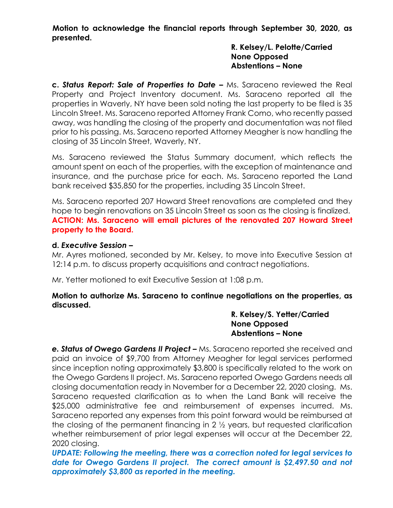**Motion to acknowledge the financial reports through September 30, 2020, as presented.** 

### **R. Kelsey/L. Pelotte/Carried None Opposed Abstentions – None**

**c.** *Status Report: Sale of Properties to Date –* Ms. Saraceno reviewed the Real Property and Project Inventory document. Ms. Saraceno reported all the properties in Waverly, NY have been sold noting the last property to be filed is 35 Lincoln Street. Ms. Saraceno reported Attorney Frank Como, who recently passed away, was handling the closing of the property and documentation was not filed prior to his passing. Ms. Saraceno reported Attorney Meagher is now handling the closing of 35 Lincoln Street, Waverly, NY.

Ms. Saraceno reviewed the Status Summary document, which reflects the amount spent on each of the properties, with the exception of maintenance and insurance, and the purchase price for each. Ms. Saraceno reported the Land bank received \$35,850 for the properties, including 35 Lincoln Street.

Ms. Saraceno reported 207 Howard Street renovations are completed and they hope to begin renovations on 35 Lincoln Street as soon as the closing is finalized. **ACTION: Ms. Saraceno will email pictures of the renovated 207 Howard Street property to the Board.** 

### **d.** *Executive Session –*

Mr. Ayres motioned, seconded by Mr. Kelsey, to move into Executive Session at 12:14 p.m. to discuss property acquisitions and contract negotiations.

Mr. Yetter motioned to exit Executive Session at 1:08 p.m.

# **Motion to authorize Ms. Saraceno to continue negotiations on the properties, as discussed.**

### **R. Kelsey/S. Yetter/Carried None Opposed Abstentions – None**

**e. Status of Owego Gardens II Project –** Ms. Saraceno reported she received and paid an invoice of \$9,700 from Attorney Meagher for legal services performed since inception noting approximately \$3,800 is specifically related to the work on the Owego Gardens II project. Ms. Saraceno reported Owego Gardens needs all closing documentation ready in November for a December 22, 2020 closing. Ms. Saraceno requested clarification as to when the Land Bank will receive the \$25,000 administrative fee and reimbursement of expenses incurred. Ms. Saraceno reported any expenses from this point forward would be reimbursed at the closing of the permanent financing in 2 ½ years, but requested clarification whether reimbursement of prior legal expenses will occur at the December 22, 2020 closing.

*UPDATE: Following the meeting, there was a correction noted for legal services to date for Owego Gardens II project. The correct amount is \$2,497.50 and not approximately \$3,800 as reported in the meeting.*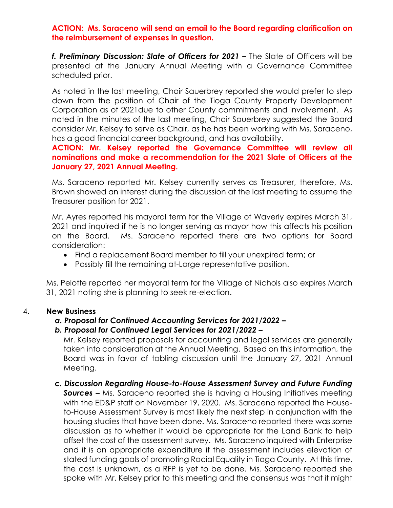### **ACTION: Ms. Saraceno will send an email to the Board regarding clarification on the reimbursement of expenses in question.**

**f. Preliminary Discussion: Slate of Officers for 2021 – The Slate of Officers will be** presented at the January Annual Meeting with a Governance Committee scheduled prior.

As noted in the last meeting, Chair Sauerbrey reported she would prefer to step down from the position of Chair of the Tioga County Property Development Corporation as of 2021due to other County commitments and involvement. As noted in the minutes of the last meeting, Chair Sauerbrey suggested the Board consider Mr. Kelsey to serve as Chair, as he has been working with Ms. Saraceno, has a good financial career background, and has availability.

**ACTION: Mr. Kelsey reported the Governance Committee will review all nominations and make a recommendation for the 2021 Slate of Officers at the January 27, 2021 Annual Meeting.** 

Ms. Saraceno reported Mr. Kelsey currently serves as Treasurer, therefore, Ms. Brown showed an interest during the discussion at the last meeting to assume the Treasurer position for 2021.

Mr. Ayres reported his mayoral term for the Village of Waverly expires March 31, 2021 and inquired if he is no longer serving as mayor how this affects his position on the Board. Ms. Saraceno reported there are two options for Board consideration:

- Find a replacement Board member to fill your unexpired term; or
- Possibly fill the remaining at-Large representative position.

Ms. Pelotte reported her mayoral term for the Village of Nichols also expires March 31, 2021 noting she is planning to seek re-election.

# 4**. New Business**

# *a. Proposal for Continued Accounting Services for 2021/2022 –*

# *b. Proposal for Continued Legal Services for 2021/2022 –*

Mr. Kelsey reported proposals for accounting and legal services are generally taken into consideration at the Annual Meeting. Based on this information, the Board was in favor of tabling discussion until the January 27, 2021 Annual Meeting.

# *c. Discussion Regarding House-to-House Assessment Survey and Future Funding*

**Sources** – Ms. Saraceno reported she is having a Housing Initiatives meeting with the ED&P staff on November 19, 2020. Ms. Saraceno reported the Houseto-House Assessment Survey is most likely the next step in conjunction with the housing studies that have been done. Ms. Saraceno reported there was some discussion as to whether it would be appropriate for the Land Bank to help offset the cost of the assessment survey. Ms. Saraceno inquired with Enterprise and it is an appropriate expenditure if the assessment includes elevation of stated funding goals of promoting Racial Equality in Tioga County. At this time, the cost is unknown, as a RFP is yet to be done. Ms. Saraceno reported she spoke with Mr. Kelsey prior to this meeting and the consensus was that it might